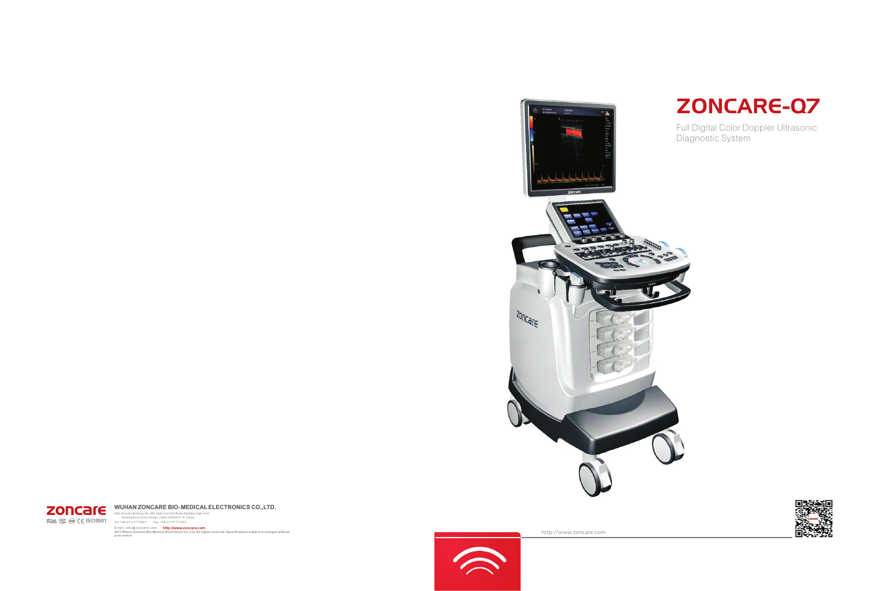http://www.zoncare.com



Add: Zoncare Building, No. 380, High-tech 2nd Road, E:<br>Development Zone, Wuhan, Hubei 430206 P. R.<br>1981: +86-27-8777 0581 Fax: +86-27-8777 0203 Add: Zoncare Building, No. 380, High-tech 2nd Road, Eastlake High-tech<br>Development Zone, Wuhan, Hubei 430206 P. R. China. **WUHAN ZONCARE BIO-MEDICALELECTRONICS CO.,LTD.**

Email: info@zoncare.com **2017 Wuhan Zoncare Bio-Medical Electronics Co.,Ltd. All rights reserved. Specifications subject to changes without prior notice.** http://www.zoncare.com





Full Digital Color Doppler Ultrasonic Diagnostic System







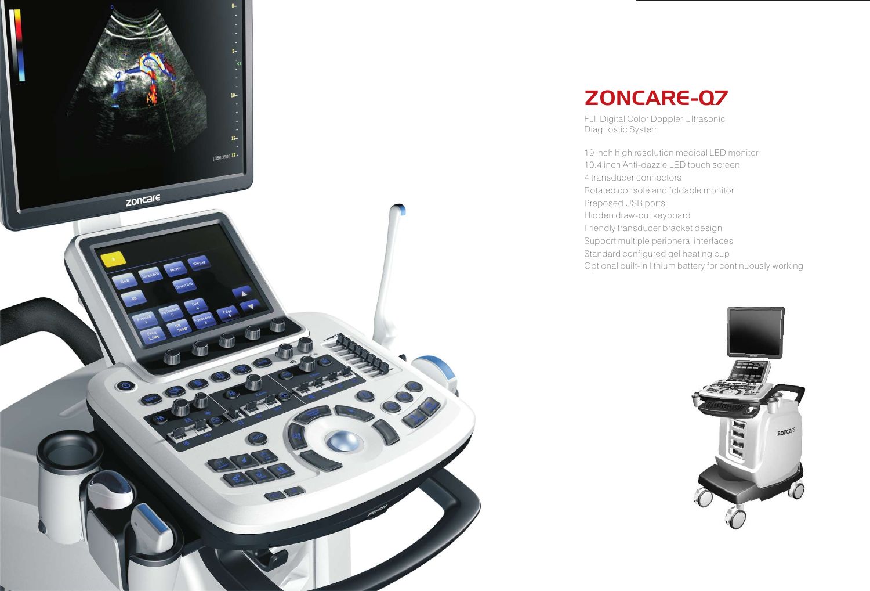- 19 inch high resolution medical LED monitor
- 10.4 inch Anti-dazzle LED touch screen
	-
- Rotated console and foldable monitor
	-
	-
	-
	-
	-
- Optional built-in lithium battery for continuously working



4 transducer connectors Preposed USB ports Hidden draw-out keyboard Friendly transducer bracket design Support multiple peripheral interfaces Standard configured gel heating cup



Full Digital Color Doppler Ultrasonic Diagnostic System



# ZONCARE-Q7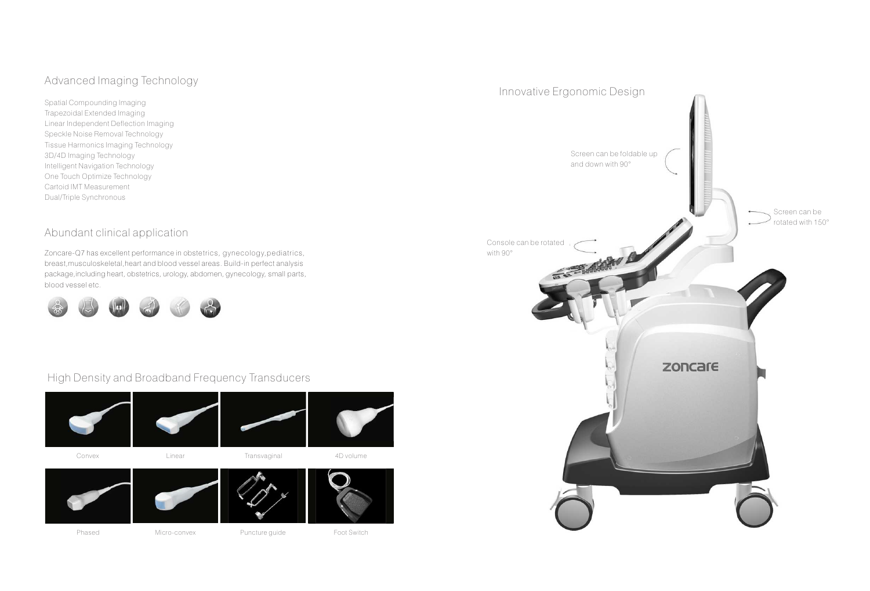Spatial Compounding Imaging Trapezoidal Extended Imaging Linear Independent Deflection Imaging Speckle Noise Removal Technology Tissue Harmonics Imaging Technology 3D/4D Imaging Technology Intelligent Navigation Technology One Touch Optimize Technology Cartoid IMT Measurement Dual/Triple Synchronous

### Advanced Imaging Technology

#### Abundant clinical application



#### High Density and Broadband Frequency Transducers

#### Innovative Ergonomic Design



Zoncare-Q7 has excellent performance in obstetrics, gynecology,pediatrics, breast,musculoskeletal,heart and blood vessel areas. Build-in perfect analysis package,including heart, obstetrics, urology, abdomen, gynecology, small parts, blood vessel etc.